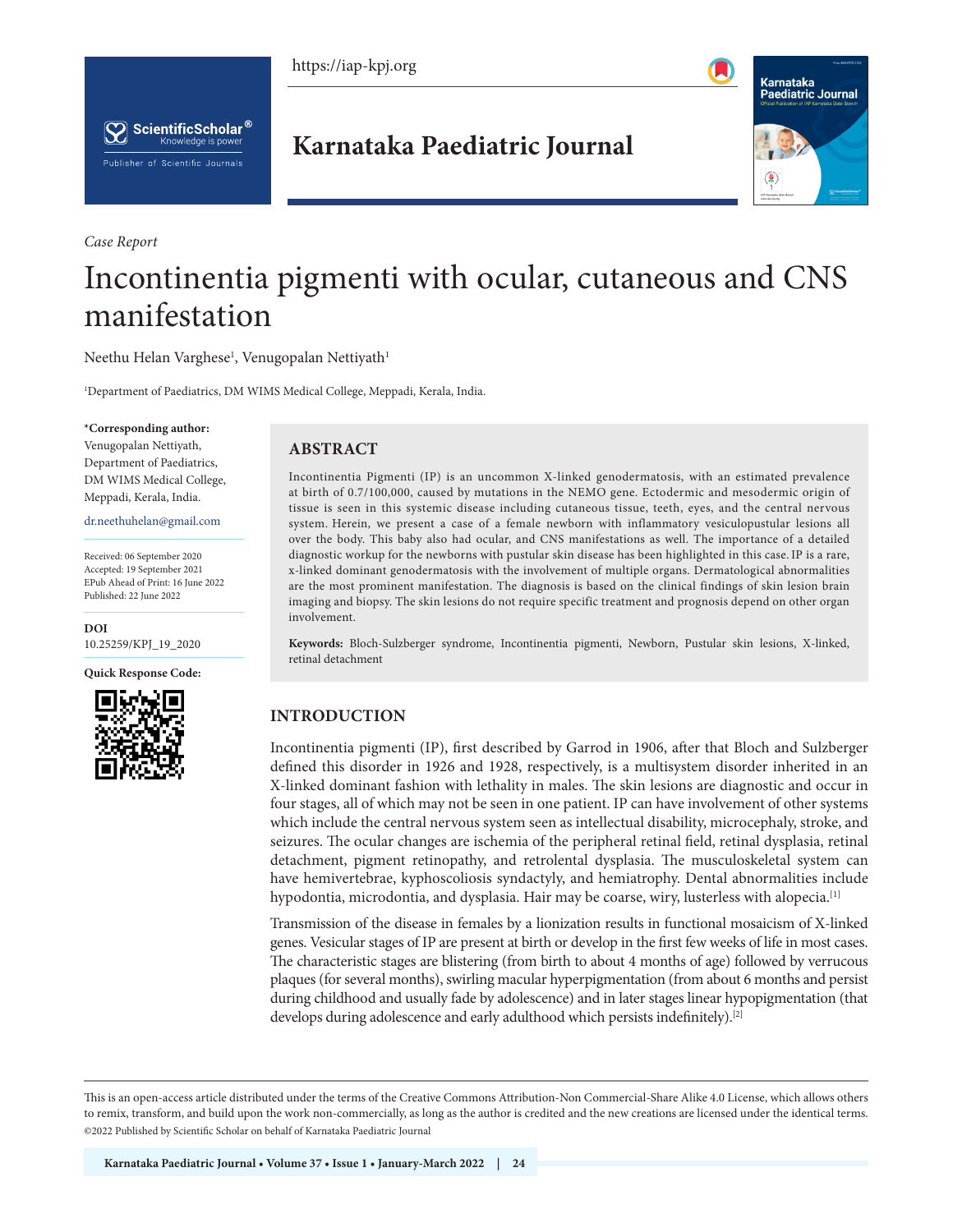





*Case Report*

# **Karnataka Paediatric Journal**



# Incontinentia pigmenti with ocular, cutaneous and CNS manifestation

Neethu Helan Varghese<sup>1</sup>, Venugopalan Nettiyath<sup>1</sup>

1 Department of Paediatrics, DM WIMS Medical College, Meppadi, Kerala, India.

#### **\*Corresponding author:**

Venugopalan Nettiyath, Department of Paediatrics, DM WIMS Medical College, Meppadi, Kerala, India.

dr.neethuhelan@gmail.com

Received: 06 September 2020 Accepted: 19 September 2021 EPub Ahead of Print: 16 June 2022 Published: 22 June 2022

**DOI** [10.25259/KPJ\\_19\\_2020](https://dx.doi.org/10.25259/KPJ_19_2020)

**Quick Response Code:**



# **ABSTRACT**

Incontinentia Pigmenti (IP) is an uncommon X-linked genodermatosis, with an estimated prevalence at birth of 0.7/100,000, caused by mutations in the NEMO gene. Ectodermic and mesodermic origin of tissue is seen in this systemic disease including cutaneous tissue, teeth, eyes, and the central nervous system. Herein, we present a case of a female newborn with inflammatory vesiculopustular lesions all over the body. This baby also had ocular, and CNS manifestations as well. The importance of a detailed diagnostic workup for the newborns with pustular skin disease has been highlighted in this case.IP is a rare, x-linked dominant genodermatosis with the involvement of multiple organs. Dermatological abnormalities are the most prominent manifestation. The diagnosis is based on the clinical findings of skin lesion brain imaging and biopsy. The skin lesions do not require specific treatment and prognosis depend on other organ involvement.

**Keywords:** Bloch-Sulzberger syndrome, Incontinentia pigmenti, Newborn, Pustular skin lesions, X-linked, retinal detachment

# **INTRODUCTION**

Incontinentia pigmenti (IP), first described by Garrod in 1906, after that Bloch and Sulzberger defined this disorder in 1926 and 1928, respectively, is a multisystem disorder inherited in an X-linked dominant fashion with lethality in males. The skin lesions are diagnostic and occur in four stages, all of which may not be seen in one patient. IP can have involvement of other systems which include the central nervous system seen as intellectual disability, microcephaly, stroke, and seizures. The ocular changes are ischemia of the peripheral retinal field, retinal dysplasia, retinal detachment, pigment retinopathy, and retrolental dysplasia. The musculoskeletal system can have hemivertebrae, kyphoscoliosis syndactyly, and hemiatrophy. Dental abnormalities include hypodontia, microdontia, and dysplasia. Hair may be coarse, wiry, lusterless with alopecia.<sup>[1]</sup>

Transmission of the disease in females by a lionization results in functional mosaicism of X-linked genes. Vesicular stages of IP are present at birth or develop in the first few weeks of life in most cases. The characteristic stages are blistering (from birth to about 4 months of age) followed by verrucous plaques (for several months), swirling macular hyperpigmentation (from about 6 months and persist during childhood and usually fade by adolescence) and in later stages linear hypopigmentation (that develops during adolescence and early adulthood which persists indefinitely).<sup>[2]</sup>

This is an open-access article distributed under the terms of the Creative Commons Attribution-Non Commercial-Share Alike 4.0 License, which allows others to remix, transform, and build upon the work non-commercially, as long as the author is credited and the new creations are licensed under the identical terms. ©2022 Published by Scientific Scholar on behalf of Karnataka Paediatric Journal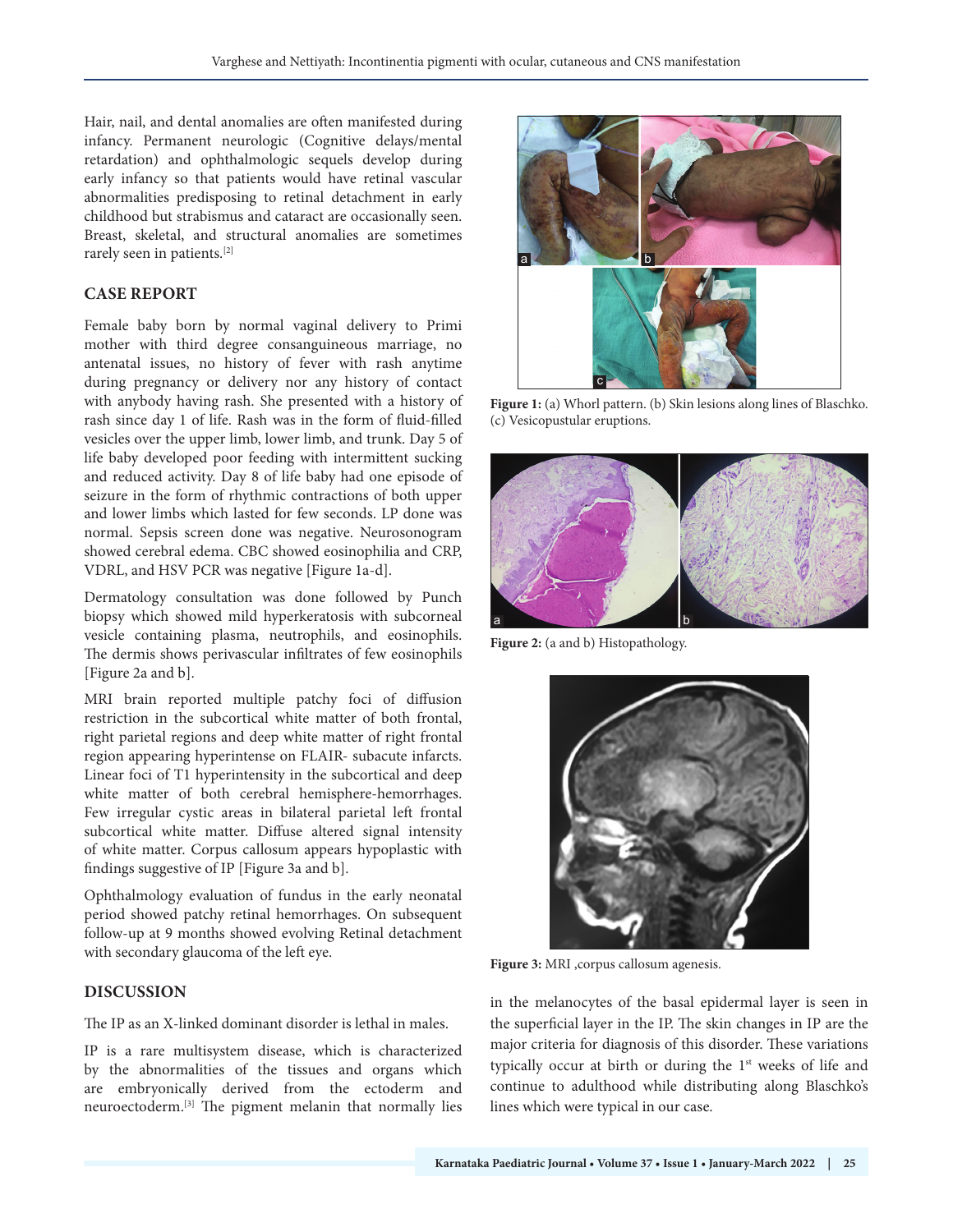Hair, nail, and dental anomalies are often manifested during infancy. Permanent neurologic (Cognitive delays/mental retardation) and ophthalmologic sequels develop during early infancy so that patients would have retinal vascular abnormalities predisposing to retinal detachment in early childhood but strabismus and cataract are occasionally seen. Breast, skeletal, and structural anomalies are sometimes rarely seen in patients.[2]

### **CASE REPORT**

Female baby born by normal vaginal delivery to Primi mother with third degree consanguineous marriage, no antenatal issues, no history of fever with rash anytime during pregnancy or delivery nor any history of contact with anybody having rash. She presented with a history of rash since day 1 of life. Rash was in the form of fluid-filled vesicles over the upper limb, lower limb, and trunk. Day 5 of life baby developed poor feeding with intermittent sucking and reduced activity. Day 8 of life baby had one episode of seizure in the form of rhythmic contractions of both upper and lower limbs which lasted for few seconds. LP done was normal. Sepsis screen done was negative. Neurosonogram showed cerebral edema. CBC showed eosinophilia and CRP, VDRL, and HSV PCR was negative [Figure 1a-d].

Dermatology consultation was done followed by Punch biopsy which showed mild hyperkeratosis with subcorneal vesicle containing plasma, neutrophils, and eosinophils. The dermis shows perivascular infiltrates of few eosinophils [Figure 2a and b].

MRI brain reported multiple patchy foci of diffusion restriction in the subcortical white matter of both frontal, right parietal regions and deep white matter of right frontal region appearing hyperintense on FLAIR- subacute infarcts. Linear foci of T1 hyperintensity in the subcortical and deep white matter of both cerebral hemisphere-hemorrhages. Few irregular cystic areas in bilateral parietal left frontal subcortical white matter. Diffuse altered signal intensity of white matter. Corpus callosum appears hypoplastic with findings suggestive of IP [Figure 3a and b].

Ophthalmology evaluation of fundus in the early neonatal period showed patchy retinal hemorrhages. On subsequent follow-up at 9 months showed evolving Retinal detachment with secondary glaucoma of the left eye.

# **DISCUSSION**

The IP as an X-linked dominant disorder is lethal in males.

IP is a rare multisystem disease, which is characterized by the abnormalities of the tissues and organs which are embryonically derived from the ectoderm and neuroectoderm.[3] The pigment melanin that normally lies



**Figure 1:** (a) Whorl pattern. (b) Skin lesions along lines of Blaschko. (c) Vesicopustular eruptions.



**Figure 2:** (a and b) Histopathology.



**Figure 3:** MRI ,corpus callosum agenesis.

in the melanocytes of the basal epidermal layer is seen in the superficial layer in the IP. The skin changes in IP are the major criteria for diagnosis of this disorder. These variations typically occur at birth or during the 1<sup>st</sup> weeks of life and continue to adulthood while distributing along Blaschko's lines which were typical in our case.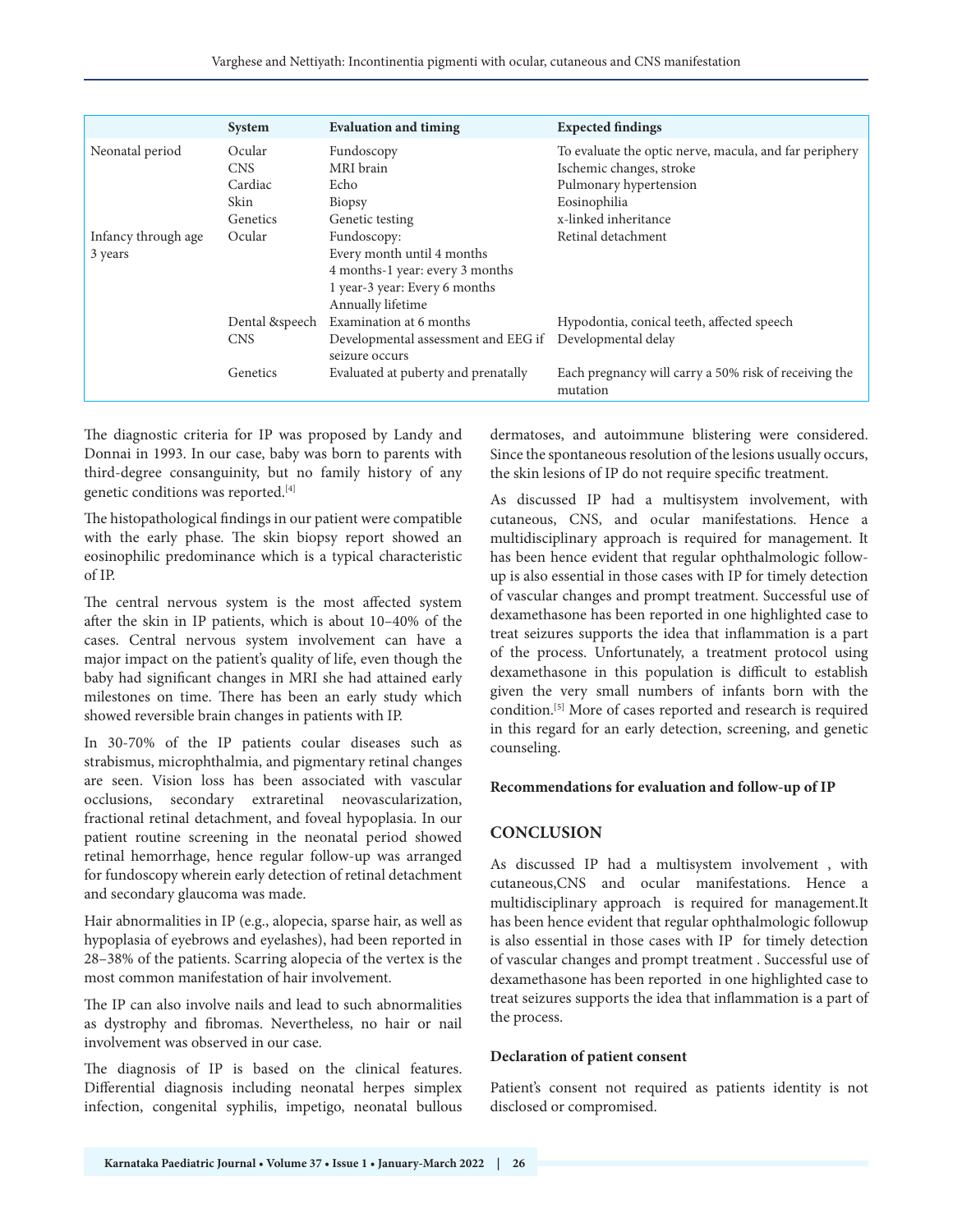|                     | System          | <b>Evaluation and timing</b>                          | <b>Expected findings</b>                                          |
|---------------------|-----------------|-------------------------------------------------------|-------------------------------------------------------------------|
| Neonatal period     | Ocular          | Fundoscopy                                            | To evaluate the optic nerve, macula, and far periphery            |
|                     | <b>CNS</b>      | MRI brain                                             | Ischemic changes, stroke                                          |
|                     | Cardiac         | Echo                                                  | Pulmonary hypertension                                            |
|                     | Skin            | Biopsy                                                | Eosinophilia                                                      |
|                     | <b>Genetics</b> | Genetic testing                                       | x-linked inheritance                                              |
| Infancy through age | Ocular          | Fundoscopy:                                           | Retinal detachment                                                |
| 3 years             |                 | Every month until 4 months                            |                                                                   |
|                     |                 | 4 months-1 year: every 3 months                       |                                                                   |
|                     |                 | 1 year-3 year: Every 6 months                         |                                                                   |
|                     |                 | Annually lifetime                                     |                                                                   |
|                     | Dental &speech  | Examination at 6 months                               | Hypodontia, conical teeth, affected speech                        |
|                     | <b>CNS</b>      | Developmental assessment and EEG if<br>seizure occurs | Developmental delay                                               |
|                     | Genetics        | Evaluated at puberty and prenatally                   | Each pregnancy will carry a 50% risk of receiving the<br>mutation |

The diagnostic criteria for IP was proposed by Landy and Donnai in 1993. In our case, baby was born to parents with third-degree consanguinity, but no family history of any genetic conditions was reported.[4]

The histopathological findings in our patient were compatible with the early phase. The skin biopsy report showed an eosinophilic predominance which is a typical characteristic of IP.

The central nervous system is the most affected system after the skin in IP patients, which is about 10–40% of the cases. Central nervous system involvement can have a major impact on the patient's quality of life, even though the baby had significant changes in MRI she had attained early milestones on time. There has been an early study which showed reversible brain changes in patients with IP.

In 30-70% of the IP patients coular diseases such as strabismus, microphthalmia, and pigmentary retinal changes are seen. Vision loss has been associated with vascular occlusions, secondary extraretinal neovascularization, fractional retinal detachment, and foveal hypoplasia. In our patient routine screening in the neonatal period showed retinal hemorrhage, hence regular follow-up was arranged for fundoscopy wherein early detection of retinal detachment and secondary glaucoma was made.

Hair abnormalities in IP (e.g., alopecia, sparse hair, as well as hypoplasia of eyebrows and eyelashes), had been reported in 28–38% of the patients. Scarring alopecia of the vertex is the most common manifestation of hair involvement.

The IP can also involve nails and lead to such abnormalities as dystrophy and fibromas. Nevertheless, no hair or nail involvement was observed in our case.

The diagnosis of IP is based on the clinical features. Differential diagnosis including neonatal herpes simplex infection, congenital syphilis, impetigo, neonatal bullous dermatoses, and autoimmune blistering were considered. Since the spontaneous resolution of the lesions usually occurs, the skin lesions of IP do not require specific treatment.

As discussed IP had a multisystem involvement, with cutaneous, CNS, and ocular manifestations. Hence a multidisciplinary approach is required for management. It has been hence evident that regular ophthalmologic followup is also essential in those cases with IP for timely detection of vascular changes and prompt treatment. Successful use of dexamethasone has been reported in one highlighted case to treat seizures supports the idea that inflammation is a part of the process. Unfortunately, a treatment protocol using dexamethasone in this population is difficult to establish given the very small numbers of infants born with the condition.[5] More of cases reported and research is required in this regard for an early detection, screening, and genetic counseling.

#### **Recommendations for evaluation and follow-up of IP**

# **CONCLUSION**

As discussed IP had a multisystem involvement , with cutaneous,CNS and ocular manifestations. Hence a multidisciplinary approach is required for management.It has been hence evident that regular ophthalmologic followup is also essential in those cases with IP for timely detection of vascular changes and prompt treatment . Successful use of dexamethasone has been reported in one highlighted case to treat seizures supports the idea that inflammation is a part of the process.

#### **Declaration of patient consent**

Patient's consent not required as patients identity is not disclosed or compromised.